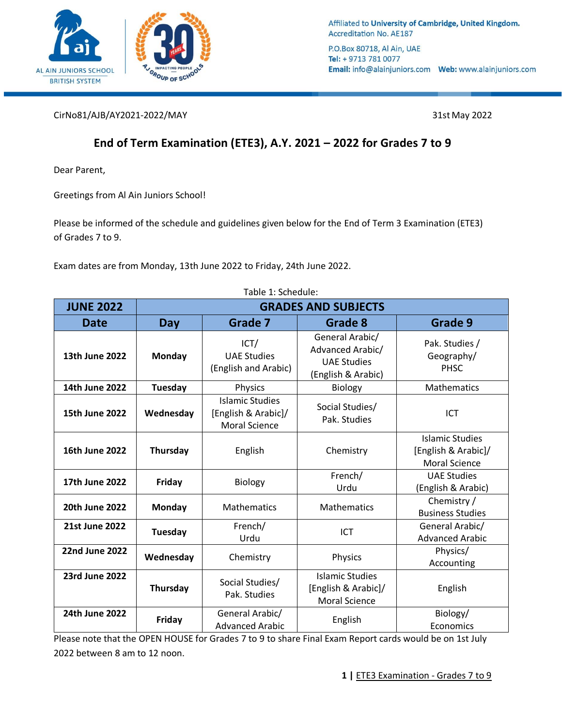

Affiliated to University of Cambridge, United Kingdom. **Accreditation No. AE187** 

P.O.Box 80718, Al Ain, UAE Tel: + 9713 781 0077 

CirNo81/AJB/AY2021-2022/MAY 31st May 2022

# **End of Term Examination (ETE3), A.Y. 2021 – 2022 for Grades 7 to 9**

Dear Parent,

Greetings from Al Ain Juniors School!

Please be informed of the schedule and guidelines given below for the End of Term 3 Examination (ETE3) of Grades 7 to 9.

Exam dates are from Monday, 13th June 2022 to Friday, 24th June 2022.

| Table 1: Schedule:    |                            |                                                                       |                                                                                 |                                                                       |
|-----------------------|----------------------------|-----------------------------------------------------------------------|---------------------------------------------------------------------------------|-----------------------------------------------------------------------|
| <b>JUNE 2022</b>      | <b>GRADES AND SUBJECTS</b> |                                                                       |                                                                                 |                                                                       |
| <b>Date</b>           | <b>Day</b>                 | Grade 7                                                               | Grade 8                                                                         | Grade 9                                                               |
| 13th June 2022        | Monday                     | ICT/<br><b>UAE Studies</b><br>(English and Arabic)                    | General Arabic/<br>Advanced Arabic/<br><b>UAE Studies</b><br>(English & Arabic) | Pak. Studies /<br>Geography/<br><b>PHSC</b>                           |
| 14th June 2022        | Tuesday                    | Physics                                                               | <b>Biology</b>                                                                  | <b>Mathematics</b>                                                    |
| <b>15th June 2022</b> | Wednesday                  | <b>Islamic Studies</b><br>[English & Arabic]/<br><b>Moral Science</b> | Social Studies/<br>Pak. Studies                                                 | ICT                                                                   |
| 16th June 2022        | Thursday                   | English                                                               | Chemistry                                                                       | <b>Islamic Studies</b><br>[English & Arabic]/<br><b>Moral Science</b> |
| 17th June 2022        | Friday                     | <b>Biology</b>                                                        | French/<br>Urdu                                                                 | <b>UAE Studies</b><br>(English & Arabic)                              |
| <b>20th June 2022</b> | Monday                     | Mathematics                                                           | Mathematics                                                                     | Chemistry /<br><b>Business Studies</b>                                |
| <b>21st June 2022</b> | Tuesday                    | French/<br>Urdu                                                       | ICT                                                                             | General Arabic/<br><b>Advanced Arabic</b>                             |
| <b>22nd June 2022</b> | Wednesday                  | Chemistry                                                             | Physics                                                                         | Physics/<br>Accounting                                                |
| <b>23rd June 2022</b> | Thursday                   | Social Studies/<br>Pak. Studies                                       | <b>Islamic Studies</b><br>[English & Arabic]/<br><b>Moral Science</b>           | English                                                               |
| 24th June 2022        | Friday                     | General Arabic/<br><b>Advanced Arabic</b>                             | English                                                                         | Biology/<br>Economics                                                 |

Please note that the OPEN HOUSE for Grades 7 to 9 to share Final Exam Report cards would be on 1st July 2022 between 8 am to 12 noon.

Table 1: Schedule: